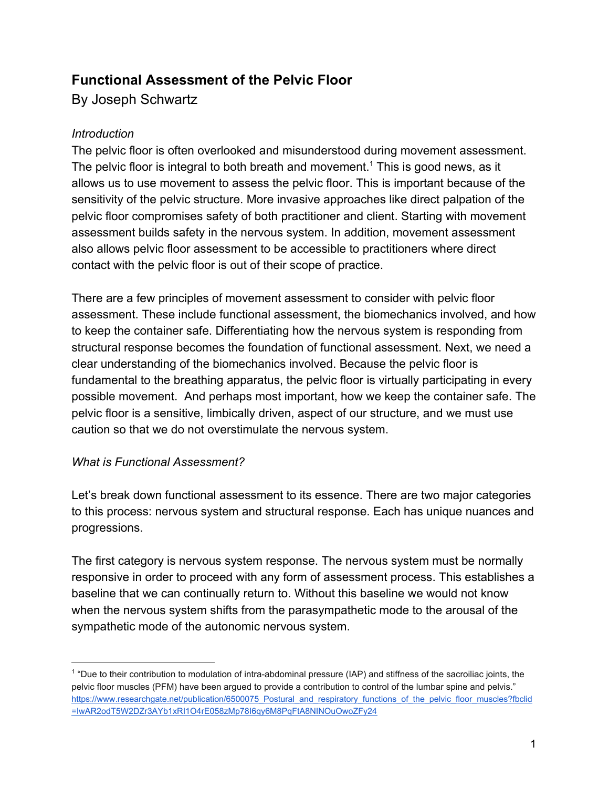# **Functional Assessment of the Pelvic Floor**

By Joseph Schwartz

## *Introduction*

The pelvic floor is often overlooked and misunderstood during movement assessment. The pelvic floor is integral to both breath and movement.<sup>1</sup> This is good news, as it allows us to use movement to assess the pelvic floor. This is important because of the sensitivity of the pelvic structure. More invasive approaches like direct palpation of the pelvic floor compromises safety of both practitioner and client. Starting with movement assessment builds safety in the nervous system. In addition, movement assessment also allows pelvic floor assessment to be accessible to practitioners where direct contact with the pelvic floor is out of their scope of practice.

There are a few principles of movement assessment to consider with pelvic floor assessment. These include functional assessment, the biomechanics involved, and how to keep the container safe. Differentiating how the nervous system is responding from structural response becomes the foundation of functional assessment. Next, we need a clear understanding of the biomechanics involved. Because the pelvic floor is fundamental to the breathing apparatus, the pelvic floor is virtually participating in every possible movement. And perhaps most important, how we keep the container safe. The pelvic floor is a sensitive, limbically driven, aspect of our structure, and we must use caution so that we do not overstimulate the nervous system.

## *What is Functional Assessment?*

Let's break down functional assessment to its essence. There are two major categories to this process: nervous system and structural response. Each has unique nuances and progressions.

The first category is nervous system response. The nervous system must be normally responsive in order to proceed with any form of assessment process. This establishes a baseline that we can continually return to. Without this baseline we would not know when the nervous system shifts from the parasympathetic mode to the arousal of the sympathetic mode of the autonomic nervous system.

<sup>&</sup>lt;sup>1</sup> "Due to their contribution to modulation of intra-abdominal pressure (IAP) and stiffness of the sacroiliac joints, the pelvic floor muscles (PFM) have been argued to provide a contribution to control of the lumbar spine and pelvis." [https://www.researchgate.net/publication/6500075\\_Postural\\_and\\_respiratory\\_functions\\_of\\_the\\_pelvic\\_floor\\_muscles?fbclid](https://www.researchgate.net/publication/6500075_Postural_and_respiratory_functions_of_the_pelvic_floor_muscles?fbclid=IwAR2odT5W2DZr3AYb1xRI1O4rE058zMp78I6qy6M8PqFtA8NINOuOwoZFy24) [=IwAR2odT5W2DZr3AYb1xRI1O4rE058zMp78I6qy6M8PqFtA8NINOuOwoZFy24](https://www.researchgate.net/publication/6500075_Postural_and_respiratory_functions_of_the_pelvic_floor_muscles?fbclid=IwAR2odT5W2DZr3AYb1xRI1O4rE058zMp78I6qy6M8PqFtA8NINOuOwoZFy24)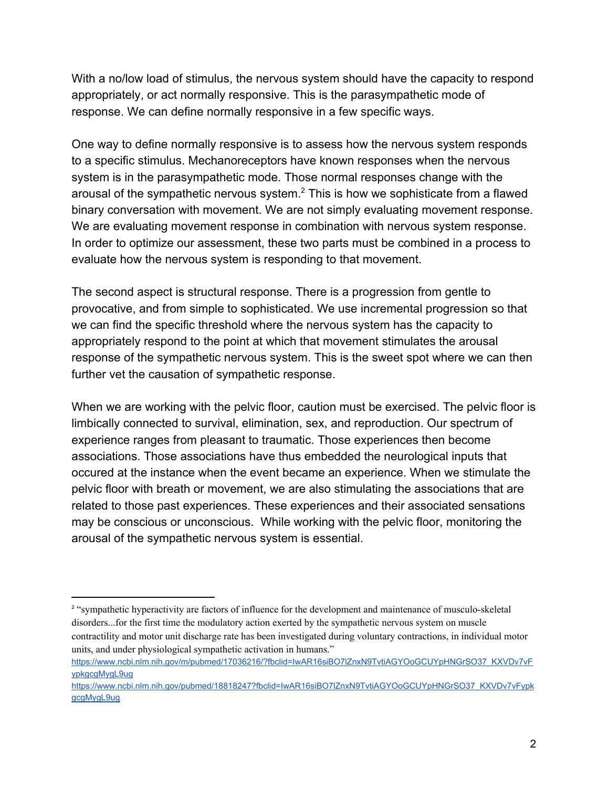With a no/low load of stimulus, the nervous system should have the capacity to respond appropriately, or act normally responsive. This is the parasympathetic mode of response. We can define normally responsive in a few specific ways.

One way to define normally responsive is to assess how the nervous system responds to a specific stimulus. Mechanoreceptors have known responses when the nervous system is in the parasympathetic mode. Those normal responses change with the arousal of the sympathetic nervous system. $<sup>2</sup>$  This is how we sophisticate from a flawed</sup> binary conversation with movement. We are not simply evaluating movement response. We are evaluating movement response in combination with nervous system response. In order to optimize our assessment, these two parts must be combined in a process to evaluate how the nervous system is responding to that movement.

The second aspect is structural response. There is a progression from gentle to provocative, and from simple to sophisticated. We use incremental progression so that we can find the specific threshold where the nervous system has the capacity to appropriately respond to the point at which that movement stimulates the arousal response of the sympathetic nervous system. This is the sweet spot where we can then further vet the causation of sympathetic response.

When we are working with the pelvic floor, caution must be exercised. The pelvic floor is limbically connected to survival, elimination, sex, and reproduction. Our spectrum of experience ranges from pleasant to traumatic. Those experiences then become associations. Those associations have thus embedded the neurological inputs that occured at the instance when the event became an experience. When we stimulate the pelvic floor with breath or movement, we are also stimulating the associations that are related to those past experiences. These experiences and their associated sensations may be conscious or unconscious. While working with the pelvic floor, monitoring the arousal of the sympathetic nervous system is essential.

<sup>&</sup>lt;sup>2</sup> "sympathetic hyperactivity are factors of influence for the development and maintenance of musculo-skeletal disorders...for the first time the modulatory action exerted by the sympathetic nervous system on muscle contractility and motor unit discharge rate has been investigated during voluntary contractions, in individual motor units, and under physiological sympathetic activation in humans."

[https://www.ncbi.nlm.nih.gov/m/pubmed/17036216/?fbclid=IwAR16siBO7lZnxN9TvtiAGYOoGCUYpHNGrSO37\\_KXVDv7vF](https://www.ncbi.nlm.nih.gov/m/pubmed/17036216/?fbclid=IwAR16siBO7lZnxN9TvtiAGYOoGCUYpHNGrSO37_KXVDv7vFypkgcgMygL9ug) [ypkgcgMygL9ug](https://www.ncbi.nlm.nih.gov/m/pubmed/17036216/?fbclid=IwAR16siBO7lZnxN9TvtiAGYOoGCUYpHNGrSO37_KXVDv7vFypkgcgMygL9ug)

https://www.ncbi.nlm.nih.gov/pubmed/18818247?fbclid=IwAR16siBO7lZnxN9TvtiAGYOoGCUYpHNGrSO37\_KXVDv7vFvpk [gcgMygL9ug](https://www.ncbi.nlm.nih.gov/pubmed/18818247?fbclid=IwAR16siBO7lZnxN9TvtiAGYOoGCUYpHNGrSO37_KXVDv7vFypkgcgMygL9ug)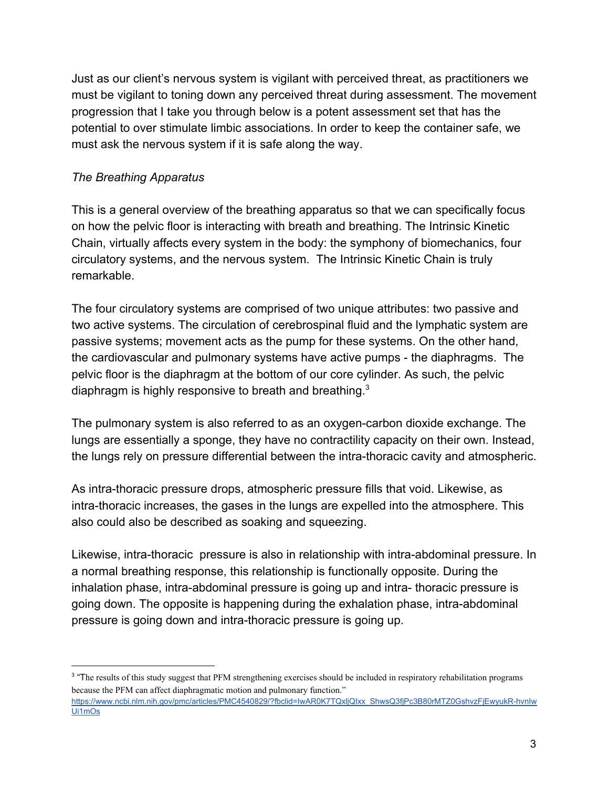Just as our client's nervous system is vigilant with perceived threat, as practitioners we must be vigilant to toning down any perceived threat during assessment. The movement progression that I take you through below is a potent assessment set that has the potential to over stimulate limbic associations. In order to keep the container safe, we must ask the nervous system if it is safe along the way.

## *The Breathing Apparatus*

This is a general overview of the breathing apparatus so that we can specifically focus on how the pelvic floor is interacting with breath and breathing. The Intrinsic Kinetic Chain, virtually affects every system in the body: the symphony of biomechanics, four circulatory systems, and the nervous system. The Intrinsic Kinetic Chain is truly remarkable.

The four circulatory systems are comprised of two unique attributes: two passive and two active systems. The circulation of cerebrospinal fluid and the lymphatic system are passive systems; movement acts as the pump for these systems. On the other hand, the cardiovascular and pulmonary systems have active pumps - the diaphragms. The pelvic floor is the diaphragm at the bottom of our core cylinder. As such, the pelvic diaphragm is highly responsive to breath and breathing.<sup>3</sup>

The pulmonary system is also referred to as an oxygen-carbon dioxide exchange. The lungs are essentially a sponge, they have no contractility capacity on their own. Instead, the lungs rely on pressure differential between the intra-thoracic cavity and atmospheric.

As intra-thoracic pressure drops, atmospheric pressure fills that void. Likewise, as intra-thoracic increases, the gases in the lungs are expelled into the atmosphere. This also could also be described as soaking and squeezing.

Likewise, intra-thoracic pressure is also in relationship with intra-abdominal pressure. In a normal breathing response, this relationship is functionally opposite. During the inhalation phase, intra-abdominal pressure is going up and intra- thoracic pressure is going down. The opposite is happening during the exhalation phase, intra-abdominal pressure is going down and intra-thoracic pressure is going up.

<sup>&</sup>lt;sup>3</sup> "The results of this study suggest that PFM strengthening exercises should be included in respiratory rehabilitation programs because the PFM can affect diaphragmatic motion and pulmonary function."

[https://www.ncbi.nlm.nih.gov/pmc/articles/PMC4540829/?fbclid=IwAR0K7TQxljQIxx\\_ShwsQ3fjPc3B80rMTZ0GshvzFjEwyukR-hvnIw](https://www.ncbi.nlm.nih.gov/pmc/articles/PMC4540829/?fbclid=IwAR0K7TQxljQIxx_ShwsQ3fjPc3B80rMTZ0GshvzFjEwyukR-hvnIwUi1mOs) [Ui1mOs](https://www.ncbi.nlm.nih.gov/pmc/articles/PMC4540829/?fbclid=IwAR0K7TQxljQIxx_ShwsQ3fjPc3B80rMTZ0GshvzFjEwyukR-hvnIwUi1mOs)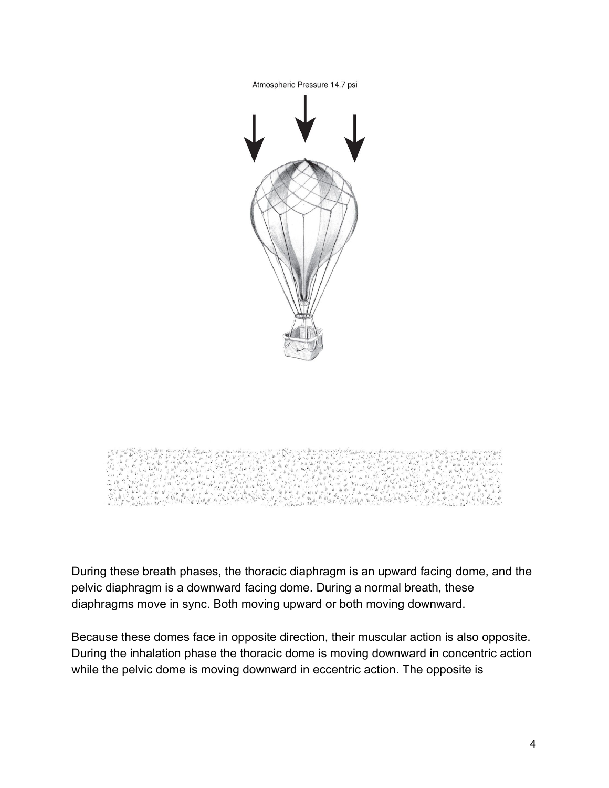



During these breath phases, the thoracic diaphragm is an upward facing dome, and the pelvic diaphragm is a downward facing dome. During a normal breath, these diaphragms move in sync. Both moving upward or both moving downward.

Because these domes face in opposite direction, their muscular action is also opposite. During the inhalation phase the thoracic dome is moving downward in concentric action while the pelvic dome is moving downward in eccentric action. The opposite is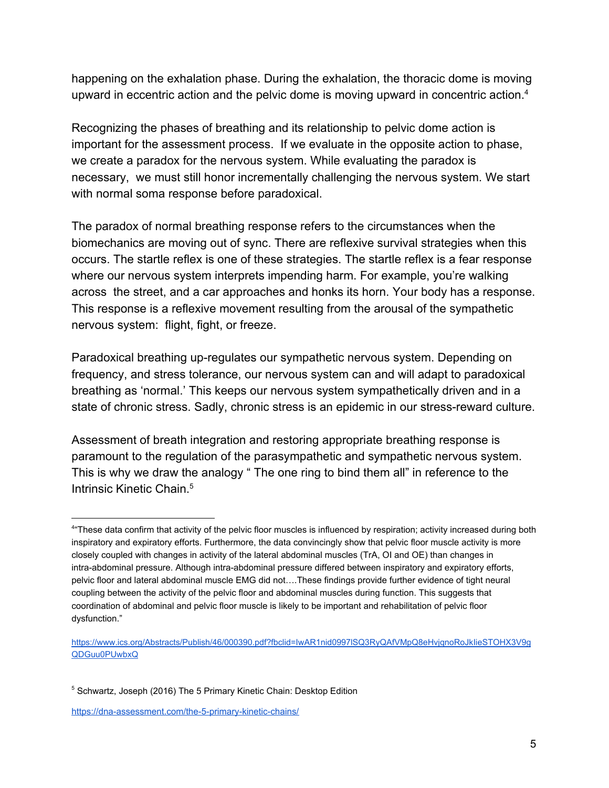happening on the exhalation phase. During the exhalation, the thoracic dome is moving upward in eccentric action and the pelvic dome is moving upward in concentric action.<sup>4</sup>

Recognizing the phases of breathing and its relationship to pelvic dome action is important for the assessment process. If we evaluate in the opposite action to phase, we create a paradox for the nervous system. While evaluating the paradox is necessary, we must still honor incrementally challenging the nervous system. We start with normal soma response before paradoxical.

The paradox of normal breathing response refers to the circumstances when the biomechanics are moving out of sync. There are reflexive survival strategies when this occurs. The startle reflex is one of these strategies. The startle reflex is a fear response where our nervous system interprets impending harm. For example, you're walking across the street, and a car approaches and honks its horn. Your body has a response. This response is a reflexive movement resulting from the arousal of the sympathetic nervous system: flight, fight, or freeze.

Paradoxical breathing up-regulates our sympathetic nervous system. Depending on frequency, and stress tolerance, our nervous system can and will adapt to paradoxical breathing as 'normal.' This keeps our nervous system sympathetically driven and in a state of chronic stress. Sadly, chronic stress is an epidemic in our stress-reward culture.

Assessment of breath integration and restoring appropriate breathing response is paramount to the regulation of the parasympathetic and sympathetic nervous system. This is why we draw the analogy " The one ring to bind them all" in reference to the Intrinsic Kinetic Chain.<sup>5</sup>

<https://dna-assessment.com/the-5-primary-kinetic-chains/>

<sup>4</sup> "These data confirm that activity of the pelvic floor muscles is influenced by respiration; activity increased during both inspiratory and expiratory efforts. Furthermore, the data convincingly show that pelvic floor muscle activity is more closely coupled with changes in activity of the lateral abdominal muscles (TrA, OI and OE) than changes in intra-abdominal pressure. Although intra-abdominal pressure differed between inspiratory and expiratory efforts, pelvic floor and lateral abdominal muscle EMG did not….These findings provide further evidence of tight neural coupling between the activity of the pelvic floor and abdominal muscles during function. This suggests that coordination of abdominal and pelvic floor muscle is likely to be important and rehabilitation of pelvic floor dysfunction."

[https://www.ics.org/Abstracts/Publish/46/000390.pdf?fbclid=IwAR1nid0997lSQ3RyQAfVMpQ8eHvjqnoRoJkIieSTOHX3V9g](https://www.ics.org/Abstracts/Publish/46/000390.pdf?fbclid=IwAR1nid0997lSQ3RyQAfVMpQ8eHvjqnoRoJkIieSTOHX3V9gQDGuu0PUwbxQ) [QDGuu0PUwbxQ](https://www.ics.org/Abstracts/Publish/46/000390.pdf?fbclid=IwAR1nid0997lSQ3RyQAfVMpQ8eHvjqnoRoJkIieSTOHX3V9gQDGuu0PUwbxQ)

<sup>&</sup>lt;sup>5</sup> Schwartz, Joseph (2016) The 5 Primary Kinetic Chain: Desktop Edition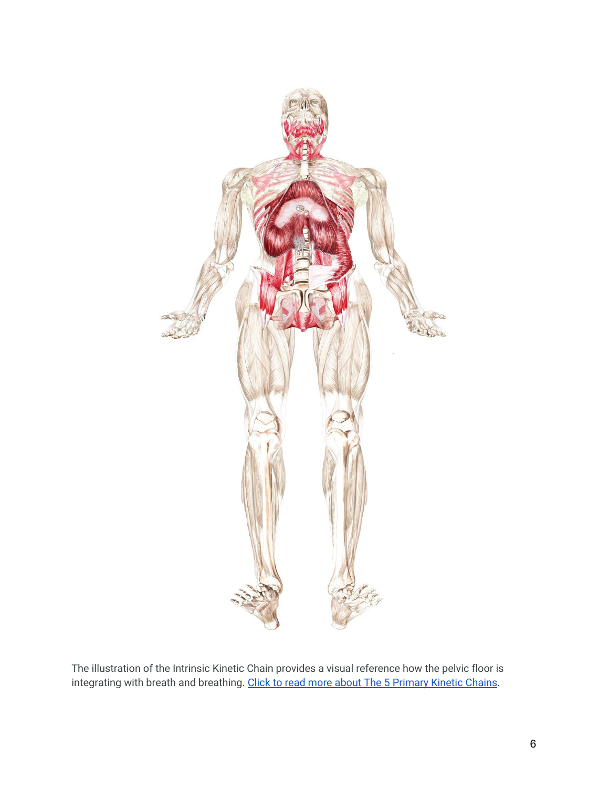

The illustration of the Intrinsic Kinetic Chain provides a visual reference how the pelvic floor is integrating with breath and breathing. [Click to read more about The 5 Primary Kinetic Chains](https://dna-assessment.com/the-5-primary-kinetic-chains/).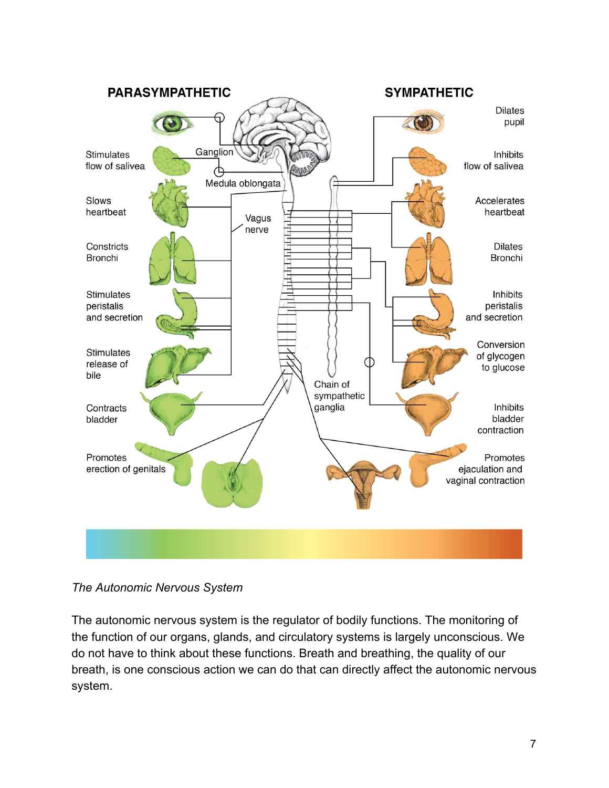

*The Autonomic Nervous System*

The autonomic nervous system is the regulator of bodily functions. The monitoring of the function of our organs, glands, and circulatory systems is largely unconscious. We do not have to think about these functions. Breath and breathing, the quality of our breath, is one conscious action we can do that can directly affect the autonomic nervous system.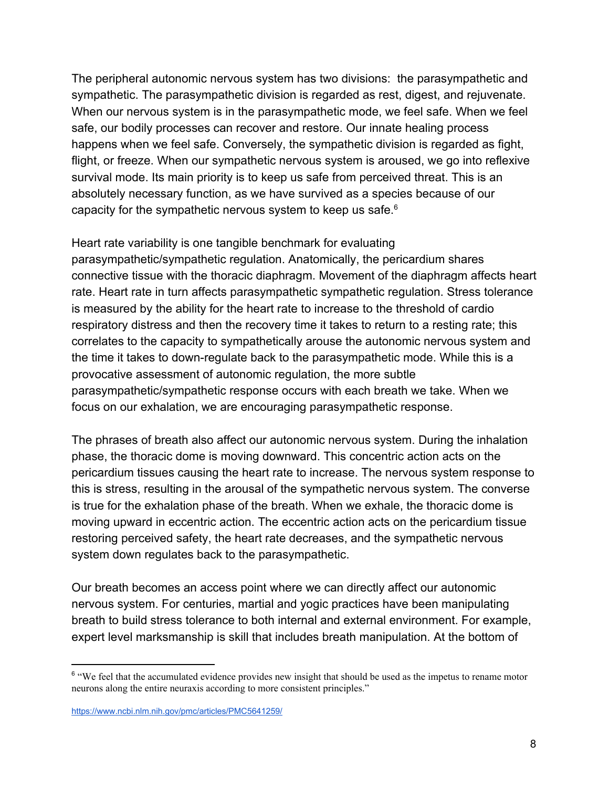The peripheral autonomic nervous system has two divisions: the parasympathetic and sympathetic. The parasympathetic division is regarded as rest, digest, and rejuvenate. When our nervous system is in the parasympathetic mode, we feel safe. When we feel safe, our bodily processes can recover and restore. Our innate healing process happens when we feel safe. Conversely, the sympathetic division is regarded as fight, flight, or freeze. When our sympathetic nervous system is aroused, we go into reflexive survival mode. Its main priority is to keep us safe from perceived threat. This is an absolutely necessary function, as we have survived as a species because of our capacity for the sympathetic nervous system to keep us safe.<sup>6</sup>

Heart rate variability is one tangible benchmark for evaluating parasympathetic/sympathetic regulation. Anatomically, the pericardium shares connective tissue with the thoracic diaphragm. Movement of the diaphragm affects heart rate. Heart rate in turn affects parasympathetic sympathetic regulation. Stress tolerance is measured by the ability for the heart rate to increase to the threshold of cardio respiratory distress and then the recovery time it takes to return to a resting rate; this correlates to the capacity to sympathetically arouse the autonomic nervous system and the time it takes to down-regulate back to the parasympathetic mode. While this is a provocative assessment of autonomic regulation, the more subtle parasympathetic/sympathetic response occurs with each breath we take. When we focus on our exhalation, we are encouraging parasympathetic response.

The phrases of breath also affect our autonomic nervous system. During the inhalation phase, the thoracic dome is moving downward. This concentric action acts on the pericardium tissues causing the heart rate to increase. The nervous system response to this is stress, resulting in the arousal of the sympathetic nervous system. The converse is true for the exhalation phase of the breath. When we exhale, the thoracic dome is moving upward in eccentric action. The eccentric action acts on the pericardium tissue restoring perceived safety, the heart rate decreases, and the sympathetic nervous system down regulates back to the parasympathetic.

Our breath becomes an access point where we can directly affect our autonomic nervous system. For centuries, martial and yogic practices have been manipulating breath to build stress tolerance to both internal and external environment. For example, expert level marksmanship is skill that includes breath manipulation. At the bottom of

<sup>&</sup>lt;sup>6</sup> "We feel that the accumulated evidence provides new insight that should be used as the impetus to rename motor neurons along the entire neuraxis according to more consistent principles."

<https://www.ncbi.nlm.nih.gov/pmc/articles/PMC5641259/>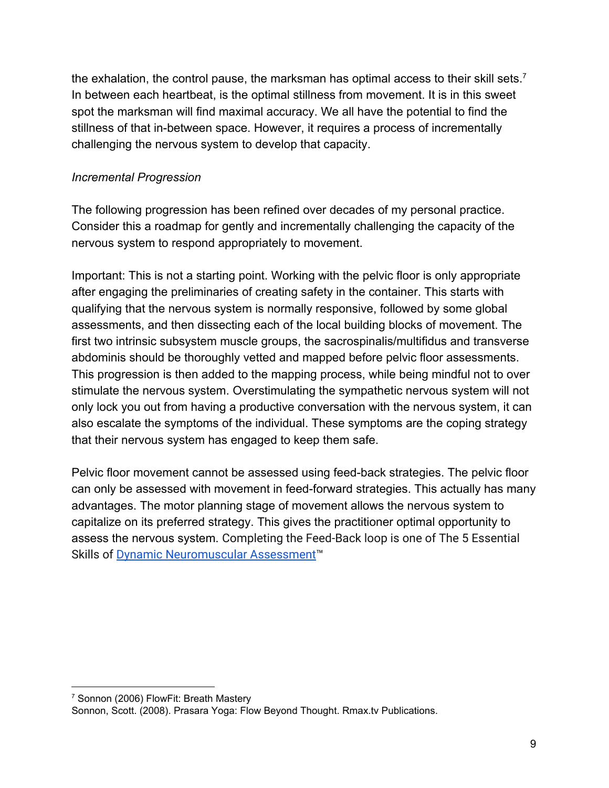the exhalation, the control pause, the marksman has optimal access to their skill sets.<sup>7</sup> In between each heartbeat, is the optimal stillness from movement. It is in this sweet spot the marksman will find maximal accuracy. We all have the potential to find the stillness of that in-between space. However, it requires a process of incrementally challenging the nervous system to develop that capacity.

## *Incremental Progression*

The following progression has been refined over decades of my personal practice. Consider this a roadmap for gently and incrementally challenging the capacity of the nervous system to respond appropriately to movement.

Important: This is not a starting point. Working with the pelvic floor is only appropriate after engaging the preliminaries of creating safety in the container. This starts with qualifying that the nervous system is normally responsive, followed by some global assessments, and then dissecting each of the local building blocks of movement. The first two intrinsic subsystem muscle groups, the sacrospinalis/multifidus and transverse abdominis should be thoroughly vetted and mapped before pelvic floor assessments. This progression is then added to the mapping process, while being mindful not to over stimulate the nervous system. Overstimulating the sympathetic nervous system will not only lock you out from having a productive conversation with the nervous system, it can also escalate the symptoms of the individual. These symptoms are the coping strategy that their nervous system has engaged to keep them safe.

Pelvic floor movement cannot be assessed using feed-back strategies. The pelvic floor can only be assessed with movement in feed-forward strategies. This actually has many advantages. The motor planning stage of movement allows the nervous system to capitalize on its preferred strategy. This gives the practitioner optimal opportunity to assess the nervous system. Completing the Feed-Back loop is one of The 5 Essential Skills of [Dynamic Neuromuscular Assessment™](https://dna-assessment.com/dna-demystified/)

<sup>7</sup> Sonnon (2006) FlowFit: Breath Mastery

Sonnon, Scott. (2008). Prasara Yoga: Flow Beyond Thought. Rmax.tv Publications.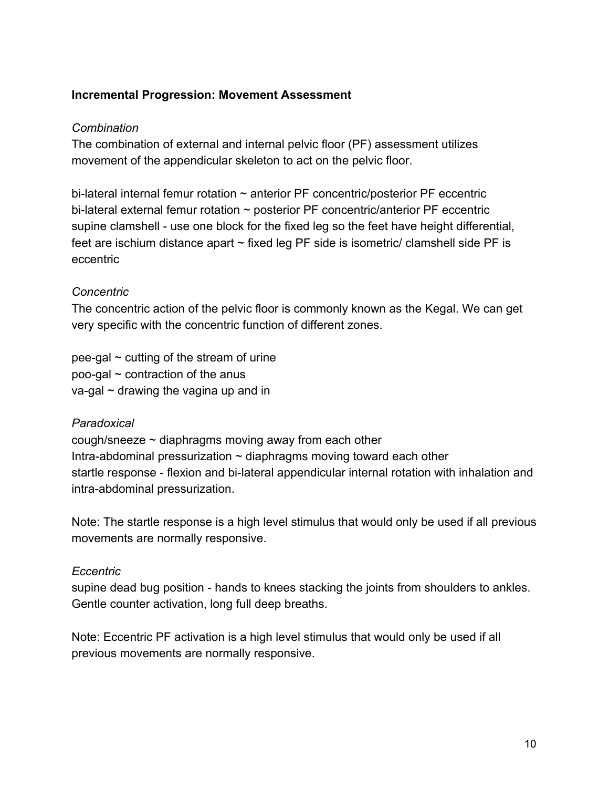#### **Incremental Progression: Movement Assessment**

#### *Combination*

The combination of external and internal pelvic floor (PF) assessment utilizes movement of the appendicular skeleton to act on the pelvic floor.

bi-lateral internal femur rotation  $\sim$  anterior PF concentric/posterior PF eccentric bi-lateral external femur rotation ~ posterior PF concentric/anterior PF eccentric supine clamshell - use one block for the fixed leg so the feet have height differential, feet are ischium distance apart  $\sim$  fixed leg PF side is isometric/ clamshell side PF is eccentric

## *Concentric*

The concentric action of the pelvic floor is commonly known as the Kegal. We can get very specific with the concentric function of different zones.

pee-gal  $\sim$  cutting of the stream of urine poo-gal  $\sim$  contraction of the anus  $va$ -gal  $\sim$  drawing the vagina up and in

## *Paradoxical*

cough/sneeze  $\sim$  diaphragms moving away from each other Intra-abdominal pressurization  $\sim$  diaphragms moving toward each other startle response - flexion and bi-lateral appendicular internal rotation with inhalation and intra-abdominal pressurization.

Note: The startle response is a high level stimulus that would only be used if all previous movements are normally responsive.

#### *Eccentric*

supine dead bug position - hands to knees stacking the joints from shoulders to ankles. Gentle counter activation, long full deep breaths.

Note: Eccentric PF activation is a high level stimulus that would only be used if all previous movements are normally responsive.